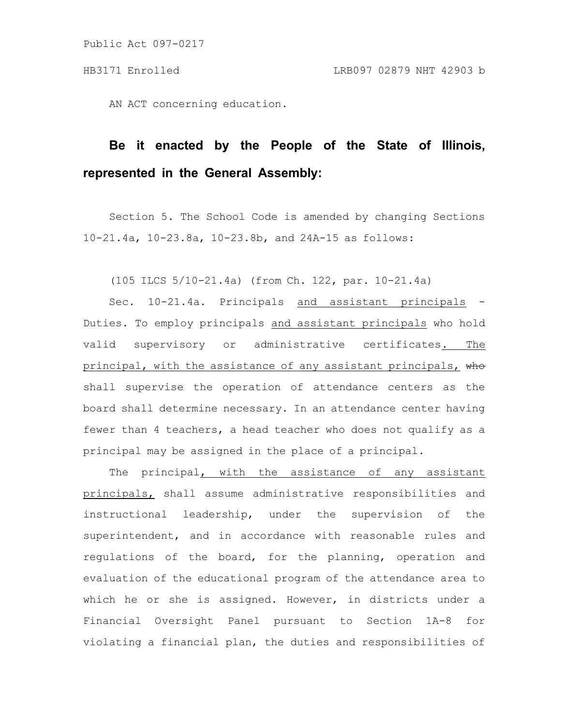AN ACT concerning education.

## **Be it enacted by the People of the State of Illinois, represented in the General Assembly:**

Section 5. The School Code is amended by changing Sections 10-21.4a, 10-23.8a, 10-23.8b, and 24A-15 as follows:

(105 ILCS 5/10-21.4a) (from Ch. 122, par. 10-21.4a)

Sec. 10-21.4a. Principals and assistant principals Duties. To employ principals and assistant principals who hold valid supervisory or administrative certificates. The principal, with the assistance of any assistant principals, who shall supervise the operation of attendance centers as the board shall determine necessary. In an attendance center having fewer than 4 teachers, a head teacher who does not qualify as a principal may be assigned in the place of a principal.

The principal, with the assistance of any assistant principals, shall assume administrative responsibilities and instructional leadership, under the supervision of the superintendent, and in accordance with reasonable rules and regulations of the board, for the planning, operation and evaluation of the educational program of the attendance area to which he or she is assigned. However, in districts under a Financial Oversight Panel pursuant to Section 1A-8 for violating a financial plan, the duties and responsibilities of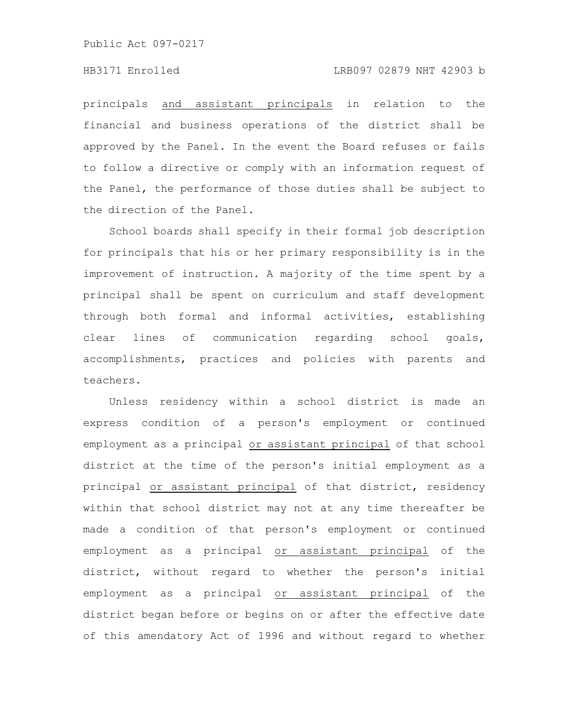## HB3171 Enrolled LRB097 02879 NHT 42903 b

principals and assistant principals in relation to the financial and business operations of the district shall be approved by the Panel. In the event the Board refuses or fails to follow a directive or comply with an information request of the Panel, the performance of those duties shall be subject to the direction of the Panel.

School boards shall specify in their formal job description for principals that his or her primary responsibility is in the improvement of instruction. A majority of the time spent by a principal shall be spent on curriculum and staff development through both formal and informal activities, establishing clear lines of communication regarding school goals, accomplishments, practices and policies with parents and teachers.

Unless residency within a school district is made an express condition of a person's employment or continued employment as a principal or assistant principal of that school district at the time of the person's initial employment as a principal or assistant principal of that district, residency within that school district may not at any time thereafter be made a condition of that person's employment or continued employment as a principal or assistant principal of the district, without regard to whether the person's initial employment as a principal or assistant principal of the district began before or begins on or after the effective date of this amendatory Act of 1996 and without regard to whether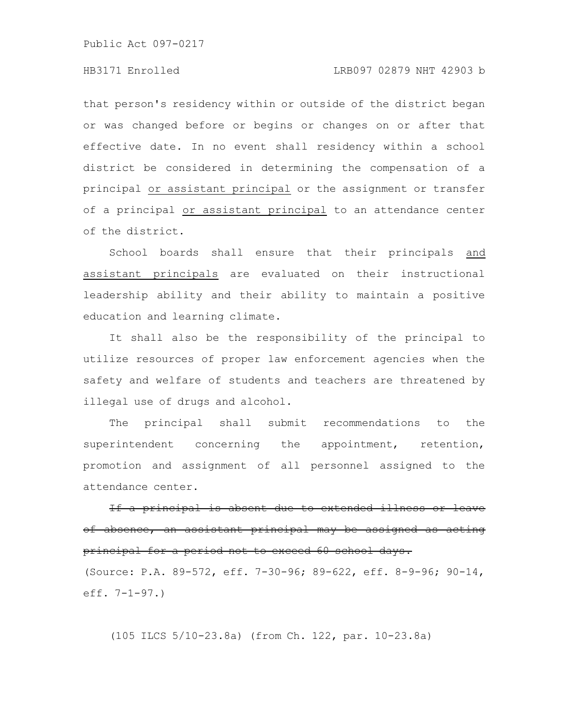## HB3171 Enrolled LRB097 02879 NHT 42903 b

that person's residency within or outside of the district began or was changed before or begins or changes on or after that effective date. In no event shall residency within a school district be considered in determining the compensation of a principal or assistant principal or the assignment or transfer of a principal or assistant principal to an attendance center of the district.

School boards shall ensure that their principals and assistant principals are evaluated on their instructional leadership ability and their ability to maintain a positive education and learning climate.

It shall also be the responsibility of the principal to utilize resources of proper law enforcement agencies when the safety and welfare of students and teachers are threatened by illegal use of drugs and alcohol.

The principal shall submit recommendations to the superintendent concerning the appointment, retention, promotion and assignment of all personnel assigned to the attendance center.

If a principal is absent due to extended illness or of absence, an assistant principal may be assigned as principal for a period not to exceed 60 school days.

(Source: P.A. 89-572, eff. 7-30-96; 89-622, eff. 8-9-96; 90-14, eff. 7-1-97.)

(105 ILCS 5/10-23.8a) (from Ch. 122, par. 10-23.8a)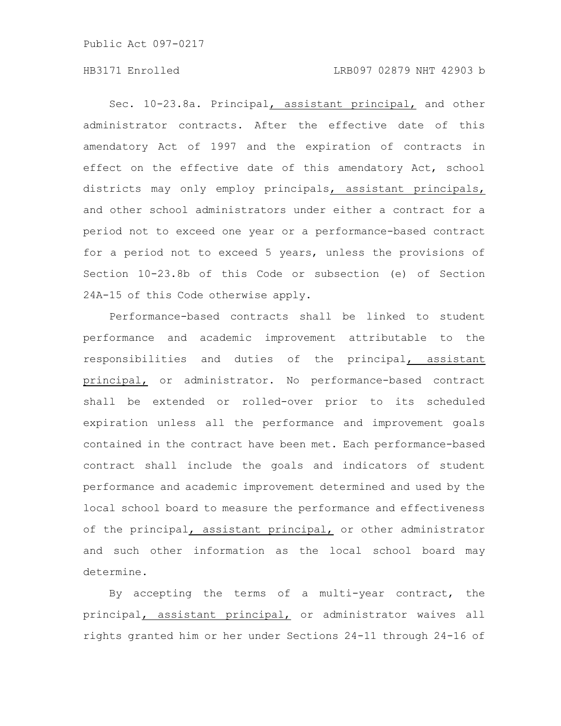## HB3171 Enrolled LRB097 02879 NHT 42903 b

Sec. 10-23.8a. Principal, assistant principal, and other administrator contracts. After the effective date of this amendatory Act of 1997 and the expiration of contracts in effect on the effective date of this amendatory Act, school districts may only employ principals, assistant principals, and other school administrators under either a contract for a period not to exceed one year or a performance-based contract for a period not to exceed 5 years, unless the provisions of Section 10-23.8b of this Code or subsection (e) of Section 24A-15 of this Code otherwise apply.

Performance-based contracts shall be linked to student performance and academic improvement attributable to the responsibilities and duties of the principal, assistant principal, or administrator. No performance-based contract shall be extended or rolled-over prior to its scheduled expiration unless all the performance and improvement goals contained in the contract have been met. Each performance-based contract shall include the goals and indicators of student performance and academic improvement determined and used by the local school board to measure the performance and effectiveness of the principal, assistant principal, or other administrator and such other information as the local school board may determine.

By accepting the terms of a multi-year contract, the principal, assistant principal, or administrator waives all rights granted him or her under Sections 24-11 through 24-16 of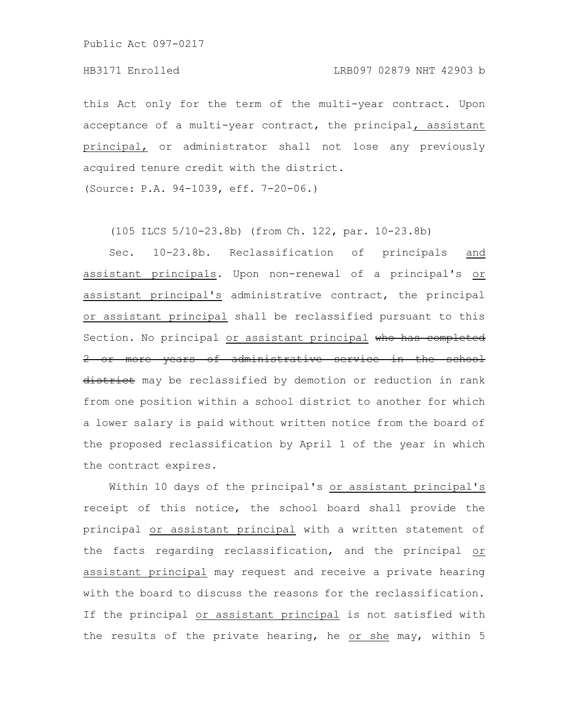this Act only for the term of the multi-year contract. Upon acceptance of a multi-year contract, the principal, assistant principal, or administrator shall not lose any previously acquired tenure credit with the district.

(Source: P.A. 94-1039, eff. 7-20-06.)

(105 ILCS 5/10-23.8b) (from Ch. 122, par. 10-23.8b)

Sec. 10-23.8b. Reclassification of principals and assistant principals. Upon non-renewal of a principal's or assistant principal's administrative contract, the principal or assistant principal shall be reclassified pursuant to this Section. No principal or assistant principal who has completed 2 or more years of administrative service in the school district may be reclassified by demotion or reduction in rank from one position within a school district to another for which a lower salary is paid without written notice from the board of the proposed reclassification by April 1 of the year in which the contract expires.

Within 10 days of the principal's or assistant principal's receipt of this notice, the school board shall provide the principal or assistant principal with a written statement of the facts regarding reclassification, and the principal or assistant principal may request and receive a private hearing with the board to discuss the reasons for the reclassification. If the principal or assistant principal is not satisfied with the results of the private hearing, he or she may, within 5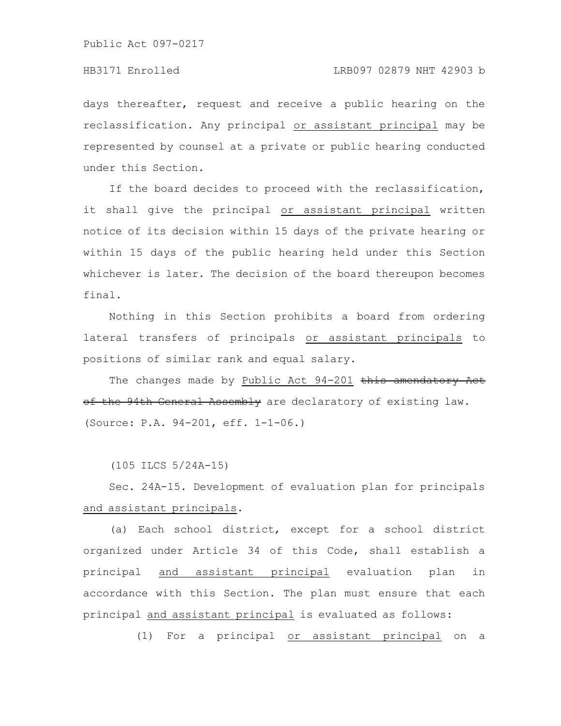days thereafter, request and receive a public hearing on the reclassification. Any principal or assistant principal may be represented by counsel at a private or public hearing conducted under this Section.

If the board decides to proceed with the reclassification, it shall give the principal or assistant principal written notice of its decision within 15 days of the private hearing or within 15 days of the public hearing held under this Section whichever is later. The decision of the board thereupon becomes final.

Nothing in this Section prohibits a board from ordering lateral transfers of principals or assistant principals to positions of similar rank and equal salary.

The changes made by Public Act 94-201 this amendatory Act of the 94th General Assembly are declaratory of existing law. (Source: P.A. 94-201, eff. 1-1-06.)

(105 ILCS 5/24A-15)

Sec. 24A-15. Development of evaluation plan for principals and assistant principals.

(a) Each school district, except for a school district organized under Article 34 of this Code, shall establish a principal and assistant principal evaluation plan in accordance with this Section. The plan must ensure that each principal and assistant principal is evaluated as follows:

(1) For a principal or assistant principal on a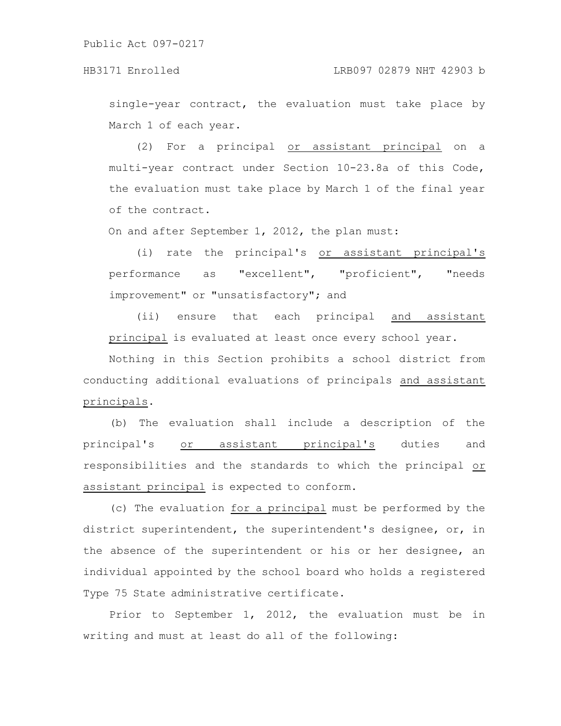single-year contract, the evaluation must take place by March 1 of each year.

(2) For a principal or assistant principal on a multi-year contract under Section 10-23.8a of this Code, the evaluation must take place by March 1 of the final year of the contract.

On and after September 1, 2012, the plan must:

(i) rate the principal's or assistant principal's performance as "excellent", "proficient", "needs improvement" or "unsatisfactory"; and

(ii) ensure that each principal and assistant principal is evaluated at least once every school year.

Nothing in this Section prohibits a school district from conducting additional evaluations of principals and assistant principals.

(b) The evaluation shall include a description of the principal's or assistant principal's duties and responsibilities and the standards to which the principal or assistant principal is expected to conform.

(c) The evaluation for a principal must be performed by the district superintendent, the superintendent's designee, or, in the absence of the superintendent or his or her designee, an individual appointed by the school board who holds a registered Type 75 State administrative certificate.

Prior to September 1, 2012, the evaluation must be in writing and must at least do all of the following: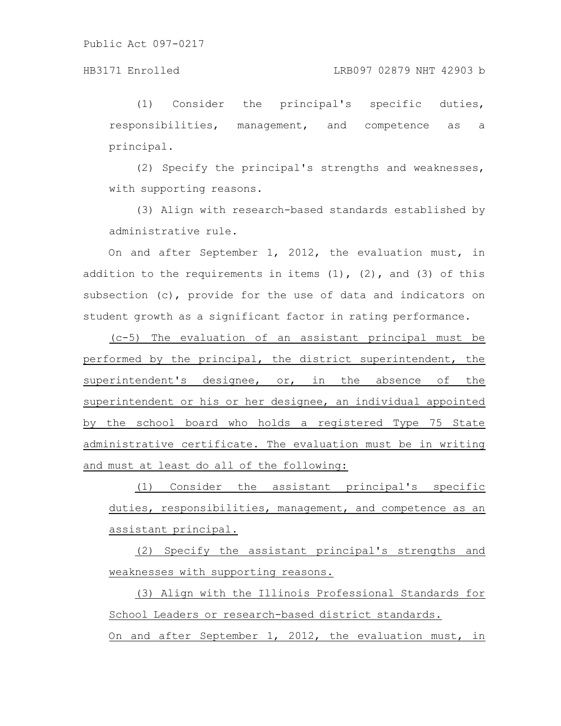(1) Consider the principal's specific duties, responsibilities, management, and competence as a principal.

(2) Specify the principal's strengths and weaknesses, with supporting reasons.

(3) Align with research-based standards established by administrative rule.

On and after September 1, 2012, the evaluation must, in addition to the requirements in items  $(1)$ ,  $(2)$ , and  $(3)$  of this subsection (c), provide for the use of data and indicators on student growth as a significant factor in rating performance.

(c-5) The evaluation of an assistant principal must be performed by the principal, the district superintendent, the superintendent's designee, or, in the absence of the superintendent or his or her designee, an individual appointed by the school board who holds a registered Type 75 State administrative certificate. The evaluation must be in writing and must at least do all of the following:

(1) Consider the assistant principal's specific duties, responsibilities, management, and competence as an assistant principal.

(2) Specify the assistant principal's strengths and weaknesses with supporting reasons.

(3) Align with the Illinois Professional Standards for School Leaders or research-based district standards.

On and after September 1, 2012, the evaluation must, in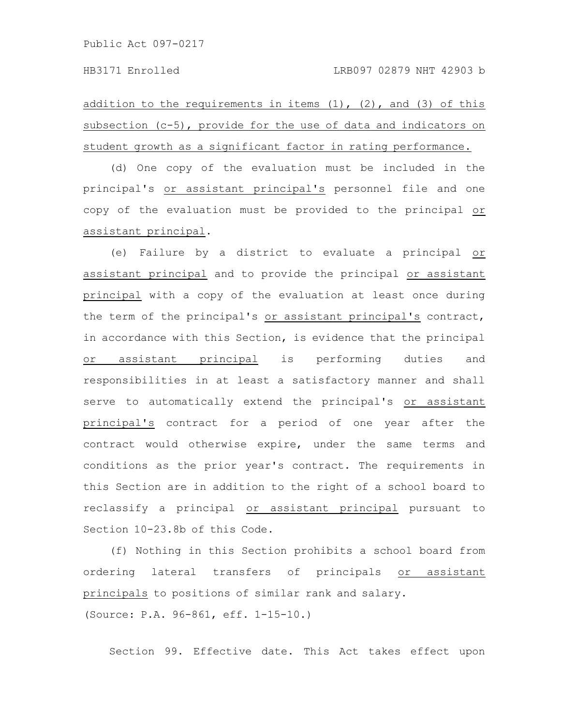addition to the requirements in items  $(1)$ ,  $(2)$ , and  $(3)$  of this subsection (c-5), provide for the use of data and indicators on student growth as a significant factor in rating performance.

(d) One copy of the evaluation must be included in the principal's or assistant principal's personnel file and one copy of the evaluation must be provided to the principal or assistant principal.

(e) Failure by a district to evaluate a principal or assistant principal and to provide the principal or assistant principal with a copy of the evaluation at least once during the term of the principal's or assistant principal's contract, in accordance with this Section, is evidence that the principal or assistant principal is performing duties and responsibilities in at least a satisfactory manner and shall serve to automatically extend the principal's or assistant principal's contract for a period of one year after the contract would otherwise expire, under the same terms and conditions as the prior year's contract. The requirements in this Section are in addition to the right of a school board to reclassify a principal or assistant principal pursuant to Section 10-23.8b of this Code.

(f) Nothing in this Section prohibits a school board from ordering lateral transfers of principals or assistant principals to positions of similar rank and salary.

(Source: P.A. 96-861, eff. 1-15-10.)

Section 99. Effective date. This Act takes effect upon